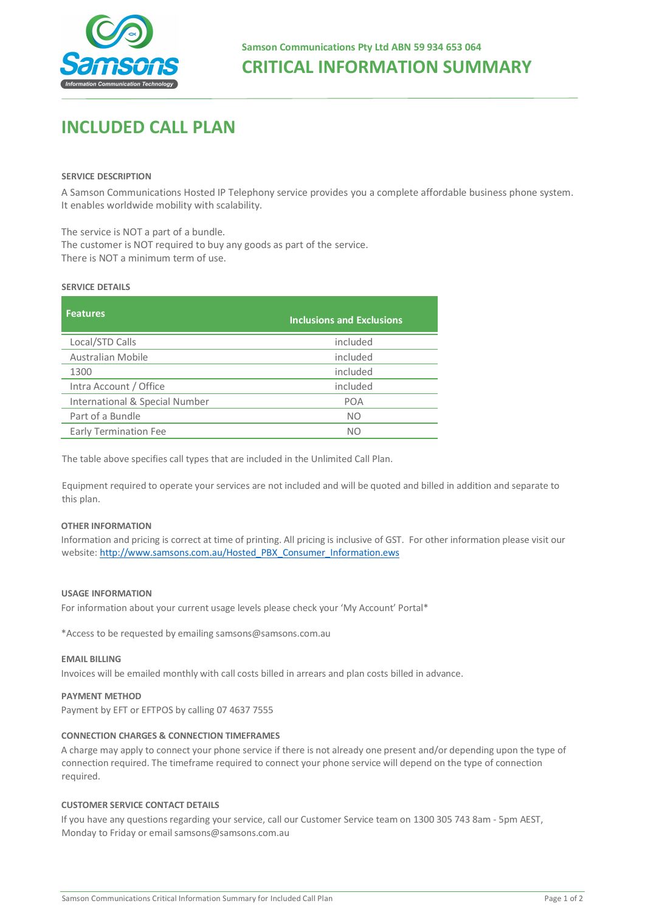

# **INCLUDED CALL PLAN**

#### **SERVICE DESCRIPTION**

A Samson Communications Hosted IP Telephony service provides you a complete affordable business phone system. It enables worldwide mobility with scalability.

The service is NOT a part of a bundle. The customer is NOT required to buy any goods as part of the service. There is NOT a minimum term of use.

## **SERVICE DETAILS**

| <b>Features</b>                | <b>Inclusions and Exclusions</b> |
|--------------------------------|----------------------------------|
| Local/STD Calls                | included                         |
| Australian Mobile              | included                         |
| 1300                           | included                         |
| Intra Account / Office         | included                         |
| International & Special Number | <b>POA</b>                       |
| Part of a Bundle               | NO                               |
| Early Termination Fee          | NO                               |

The table above specifies call types that are included in the Unlimited Call Plan.

Equipment required to operate your services are not included and will be quoted and billed in addition and separate to this plan.

## **OTHER INFORMATION**

Information and pricing is correct at time of printing. All pricing is inclusive of GST. For other information please visit our website: [http://www.samsons.com.au/Hosted\\_PBX\\_Consumer\\_Information.ews](http://www.samsons.com.au/Hosted_PBX_Consumer_Information.ews)

#### **USAGE INFORMATION**

For information about your current usage levels please check your 'My Account' Portal\*

\*Access to be requested by emailing samsons@samsons.com.au

#### **EMAIL BILLING**

Invoices will be emailed monthly with call costs billed in arrears and plan costs billed in advance.

## **PAYMENT METHOD**

Payment by EFT or EFTPOS by calling 07 4637 7555

#### **CONNECTION CHARGES & CONNECTION TIMEFRAMES**

A charge may apply to connect your phone service if there is not already one present and/or depending upon the type of connection required. The timeframe required to connect your phone service will depend on the type of connection required.

#### **CUSTOMER SERVICE CONTACT DETAILS**

If you have any questions regarding your service, call our Customer Service team on 1300 305 743 8am - 5pm AEST, Monday to Friday or email samsons@samsons.com.au